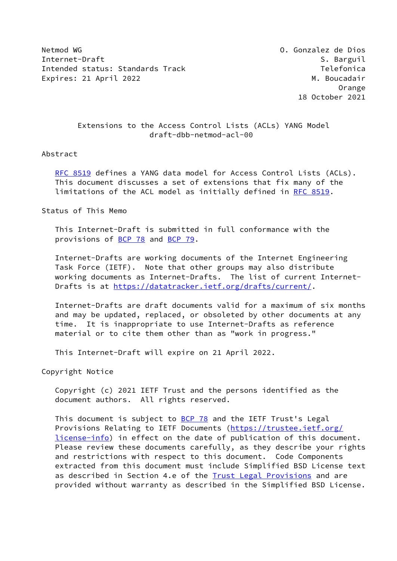Netmod WG O. Gonzalez de Dios Internet-Draft Secret Secret Secret Secret Secret Secret Secret Secret Secret Secret Secret Secret Secret Secret Secret Secret Secret Secret Secret Secret Secret Secret Secret Secret Secret Secret Secret Secret Secret Secr Intended status: Standards Track Telefonica Expires: 21 April 2022 M. Boucadair

 Orange 18 October 2021

## Extensions to the Access Control Lists (ACLs) YANG Model draft-dbb-netmod-acl-00

#### Abstract

 [RFC 8519](https://datatracker.ietf.org/doc/pdf/rfc8519) defines a YANG data model for Access Control Lists (ACLs). This document discusses a set of extensions that fix many of the limitations of the ACL model as initially defined in [RFC 8519](https://datatracker.ietf.org/doc/pdf/rfc8519).

Status of This Memo

 This Internet-Draft is submitted in full conformance with the provisions of [BCP 78](https://datatracker.ietf.org/doc/pdf/bcp78) and [BCP 79](https://datatracker.ietf.org/doc/pdf/bcp79).

 Internet-Drafts are working documents of the Internet Engineering Task Force (IETF). Note that other groups may also distribute working documents as Internet-Drafts. The list of current Internet- Drafts is at<https://datatracker.ietf.org/drafts/current/>.

 Internet-Drafts are draft documents valid for a maximum of six months and may be updated, replaced, or obsoleted by other documents at any time. It is inappropriate to use Internet-Drafts as reference material or to cite them other than as "work in progress."

This Internet-Draft will expire on 21 April 2022.

Copyright Notice

 Copyright (c) 2021 IETF Trust and the persons identified as the document authors. All rights reserved.

This document is subject to **[BCP 78](https://datatracker.ietf.org/doc/pdf/bcp78)** and the IETF Trust's Legal Provisions Relating to IETF Documents ([https://trustee.ietf.org/](https://trustee.ietf.org/license-info) [license-info](https://trustee.ietf.org/license-info)) in effect on the date of publication of this document. Please review these documents carefully, as they describe your rights and restrictions with respect to this document. Code Components extracted from this document must include Simplified BSD License text as described in Section 4.e of the [Trust Legal Provisions](https://trustee.ietf.org/license-info) and are provided without warranty as described in the Simplified BSD License.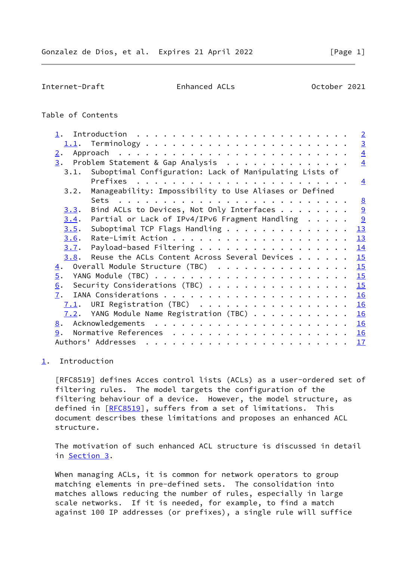# <span id="page-1-1"></span>Table of Contents

| $\overline{2}$                                                                                                                                                                                                                             |
|--------------------------------------------------------------------------------------------------------------------------------------------------------------------------------------------------------------------------------------------|
| $\overline{3}$                                                                                                                                                                                                                             |
| $\overline{4}$<br>2.                                                                                                                                                                                                                       |
| 3. Problem Statement & Gap Analysis<br>$\overline{4}$                                                                                                                                                                                      |
| 3.1. Suboptimal Configuration: Lack of Manipulating Lists of                                                                                                                                                                               |
| $\overline{4}$                                                                                                                                                                                                                             |
| Manageability: Impossibility to Use Aliases or Defined<br>3.2.                                                                                                                                                                             |
| 8<br>. The contract of the contract of the contract of the contract of the contract of the contract of the contract of the contract of the contract of the contract of the contract of the contract of the contract of the contrac<br>Sets |
| 9<br>Bind ACLs to Devices, Not Only Interfaces<br>3.3.                                                                                                                                                                                     |
| 9<br>Partial or Lack of IPv4/IPv6 Fragment Handling<br>3.4.                                                                                                                                                                                |
| 13<br>Suboptimal TCP Flags Handling<br>3.5.                                                                                                                                                                                                |
| 13<br>3.6.                                                                                                                                                                                                                                 |
| Payload-based Filtering<br>14<br>3.7.                                                                                                                                                                                                      |
| Reuse the ACLs Content Across Several Devices<br>15<br>3.8.                                                                                                                                                                                |
| 15<br>Overall Module Structure (TBC)<br>$\overline{4}$ .                                                                                                                                                                                   |
| $\overline{5}$ .<br>15                                                                                                                                                                                                                     |
| Security Considerations (TBC) $\cdots$<br>15<br>$\underline{6}$ .                                                                                                                                                                          |
| 16<br>7.                                                                                                                                                                                                                                   |
| URI Registration (TBC)<br>16<br>7.1.                                                                                                                                                                                                       |
| $7.2$ . YANG Module Name Registration (TBC)<br>16                                                                                                                                                                                          |
| 16<br>8.                                                                                                                                                                                                                                   |
| 9.<br>16                                                                                                                                                                                                                                   |
| 17                                                                                                                                                                                                                                         |

### <span id="page-1-0"></span>[1](#page-1-0). Introduction

 [RFC8519] defines Acces control lists (ACLs) as a user-ordered set of filtering rules. The model targets the configuration of the filtering behaviour of a device. However, the model structure, as defined in [[RFC8519\]](https://datatracker.ietf.org/doc/pdf/rfc8519), suffers from a set of limitations. This document describes these limitations and proposes an enhanced ACL structure.

 The motivation of such enhanced ACL structure is discussed in detail in [Section 3.](#page-3-2)

When managing ACLs, it is common for network operators to group matching elements in pre-defined sets. The consolidation into matches allows reducing the number of rules, especially in large scale networks. If it is needed, for example, to find a match against 100 IP addresses (or prefixes), a single rule will suffice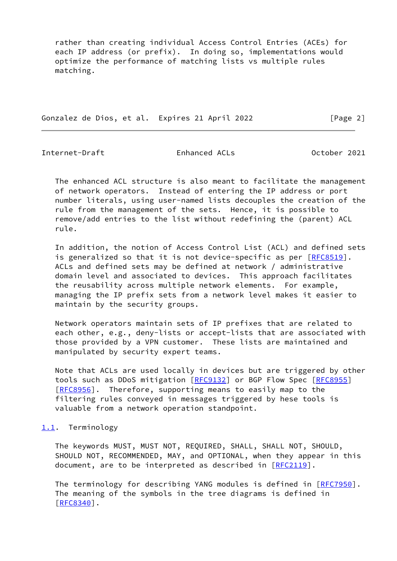rather than creating individual Access Control Entries (ACEs) for each IP address (or prefix). In doing so, implementations would optimize the performance of matching lists vs multiple rules matching.

Gonzalez de Dios, et al. Expires 21 April 2022 [Page 2]

<span id="page-2-1"></span>Internet-Draft Enhanced ACLs October 2021

 The enhanced ACL structure is also meant to facilitate the management of network operators. Instead of entering the IP address or port number literals, using user-named lists decouples the creation of the rule from the management of the sets. Hence, it is possible to remove/add entries to the list without redefining the (parent) ACL rule.

 In addition, the notion of Access Control List (ACL) and defined sets is generalized so that it is not device-specific as per [\[RFC8519](https://datatracker.ietf.org/doc/pdf/rfc8519)]. ACLs and defined sets may be defined at network / administrative domain level and associated to devices. This approach facilitates the reusability across multiple network elements. For example, managing the IP prefix sets from a network level makes it easier to maintain by the security groups.

 Network operators maintain sets of IP prefixes that are related to each other, e.g., deny-lists or accept-lists that are associated with those provided by a VPN customer. These lists are maintained and manipulated by security expert teams.

 Note that ACLs are used locally in devices but are triggered by other tools such as DDoS mitigation [[RFC9132](https://datatracker.ietf.org/doc/pdf/rfc9132)] or BGP Flow Spec [\[RFC8955](https://datatracker.ietf.org/doc/pdf/rfc8955)] [\[RFC8956](https://datatracker.ietf.org/doc/pdf/rfc8956)]. Therefore, supporting means to easily map to the filtering rules conveyed in messages triggered by hese tools is valuable from a network operation standpoint.

# <span id="page-2-0"></span>[1.1](#page-2-0). Terminology

 The keywords MUST, MUST NOT, REQUIRED, SHALL, SHALL NOT, SHOULD, SHOULD NOT, RECOMMENDED, MAY, and OPTIONAL, when they appear in this document, are to be interpreted as described in [\[RFC2119](https://datatracker.ietf.org/doc/pdf/rfc2119)].

The terminology for describing YANG modules is defined in [[RFC7950](https://datatracker.ietf.org/doc/pdf/rfc7950)]. The meaning of the symbols in the tree diagrams is defined in [\[RFC8340](https://datatracker.ietf.org/doc/pdf/rfc8340)].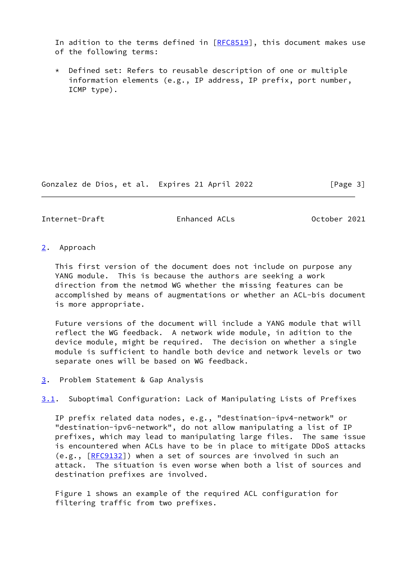In adition to the terms defined in  $[RECS519]$ , this document makes use of the following terms:

 \* Defined set: Refers to reusable description of one or multiple information elements (e.g., IP address, IP prefix, port number, ICMP type).

Gonzalez de Dios, et al. Expires 21 April 2022 [Page 3]

<span id="page-3-1"></span>Internet-Draft Enhanced ACLs October 2021

#### <span id="page-3-0"></span>[2](#page-3-0). Approach

 This first version of the document does not include on purpose any YANG module. This is because the authors are seeking a work direction from the netmod WG whether the missing features can be accomplished by means of augmentations or whether an ACL-bis document is more appropriate.

 Future versions of the document will include a YANG module that will reflect the WG feedback. A network wide module, in adition to the device module, might be required. The decision on whether a single module is sufficient to handle both device and network levels or two separate ones will be based on WG feedback.

<span id="page-3-2"></span>[3](#page-3-2). Problem Statement & Gap Analysis

<span id="page-3-3"></span>[3.1](#page-3-3). Suboptimal Configuration: Lack of Manipulating Lists of Prefixes

 IP prefix related data nodes, e.g., "destination-ipv4-network" or "destination-ipv6-network", do not allow manipulating a list of IP prefixes, which may lead to manipulating large files. The same issue is encountered when ACLs have to be in place to mitigate DDoS attacks (e.g., [\[RFC9132](https://datatracker.ietf.org/doc/pdf/rfc9132)]) when a set of sources are involved in such an attack. The situation is even worse when both a list of sources and destination prefixes are involved.

 Figure 1 shows an example of the required ACL configuration for filtering traffic from two prefixes.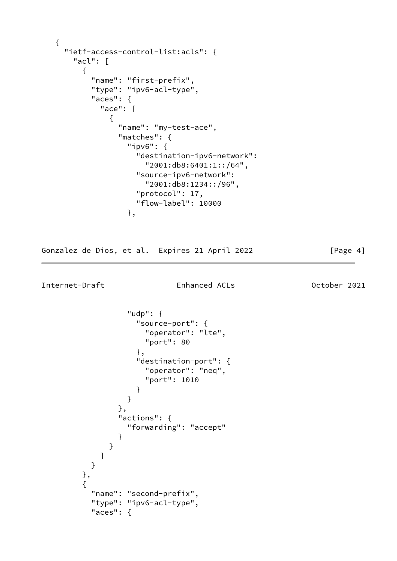```
 {
     "ietf-access-control-list:acls": {
       "acl": [
         {
          "name": "first-prefix",
           "type": "ipv6-acl-type",
           "aces": {
             "ace": [
\{ "name": "my-test-ace",
                 "matches": {
                   "ipv6": {
                     "destination-ipv6-network":
                       "2001:db8:6401:1::/64",
                     "source-ipv6-network":
                       "2001:db8:1234::/96",
                     "protocol": 17,
                     "flow-label": 10000
 },
```
Gonzalez de Dios, et al. Expires 21 April 2022 [Page 4]

```
Internet-Draft Enhanced ACLs October 2021
```

```
 "udp": {
                 "source-port": {
                  "operator": "lte",
                  "port": 80
 },
                 "destination-port": {
                  "operator": "neq",
                  "port": 1010
 }
 }
              },
              "actions": {
               "forwarding": "accept"
 }
 }
 ]
         }
       },
       {
         "name": "second-prefix",
         "type": "ipv6-acl-type",
         "aces": {
```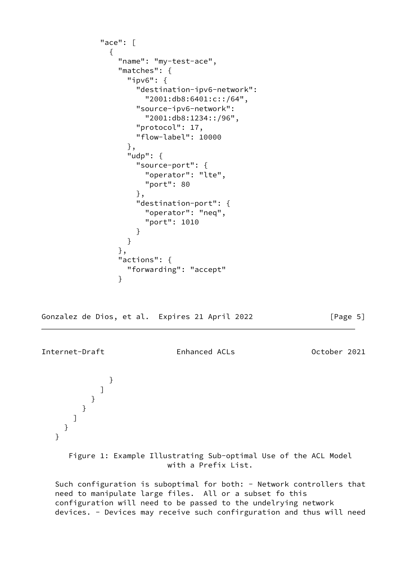```
 "ace": [
\{ "name": "my-test-ace",
               "matches": {
                 "ipv6": {
                   "destination-ipv6-network":
                     "2001:db8:6401:c::/64",
                   "source-ipv6-network":
                     "2001:db8:1234::/96",
                   "protocol": 17,
                   "flow-label": 10000
                 },
                 "udp": {
                   "source-port": {
                     "operator": "lte",
                     "port": 80
 },
                   "destination-port": {
                     "operator": "neq",
                     "port": 1010
 }
 }
               },
               "actions": {
                 "forwarding": "accept"
 }
```
Gonzalez de Dios, et al. Expires 21 April 2022 [Page 5]

Internet-Draft Enhanced ACLs October 2021

}

 ] } } ] } }

 Figure 1: Example Illustrating Sub-optimal Use of the ACL Model with a Prefix List.

Such configuration is suboptimal for both: - Network controllers that need to manipulate large files. All or a subset fo this configuration will need to be passed to the undelrying network devices. - Devices may receive such confirguration and thus will need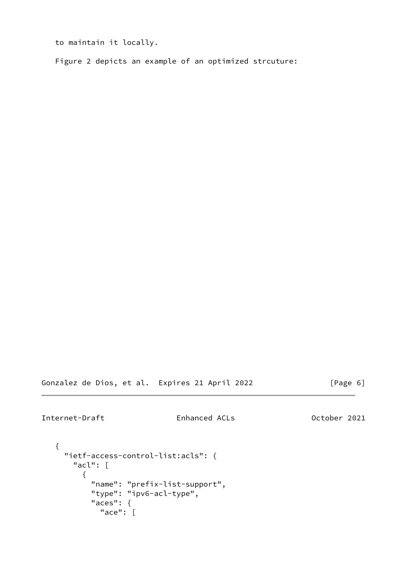to maintain it locally.

Figure 2 depicts an example of an optimized strcuture:

Gonzalez de Dios, et al. Expires 21 April 2022 [Page 6]

Internet-Draft Enhanced ACLs October 2021

```
 {
  "ietf-access-control-list:acls": {
     "acl": [
       {
         "name": "prefix-list-support",
         "type": "ipv6-acl-type",
         "aces": {
           "ace": [
```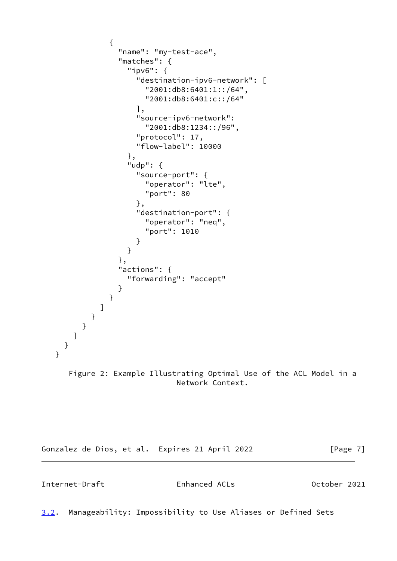```
\{ "name": "my-test-ace",
               "matches": {
                 "ipv6": {
                   "destination-ipv6-network": [
                    "2001:db8:6401:1::/64",
                    "2001:db8:6401:c::/64"
 ],
                   "source-ipv6-network":
                    "2001:db8:1234::/96",
                   "protocol": 17,
                   "flow-label": 10000
                 },
                 "udp": {
                   "source-port": {
                    "operator": "lte",
                    "port": 80
 },
                   "destination-port": {
                    "operator": "neq",
                    "port": 1010
 }
 }
               },
               "actions": {
                 "forwarding": "accept"
 }
 }
           ]
         }
        }
      ]
     }
   }
      Figure 2: Example Illustrating Optimal Use of the ACL Model in a
                          Network Context.
```
Gonzalez de Dios, et al. Expires 21 April 2022 [Page 7]

<span id="page-7-0"></span>Internet-Draft Enhanced ACLs October 2021

<span id="page-7-1"></span>[3.2](#page-7-1). Manageability: Impossibility to Use Aliases or Defined Sets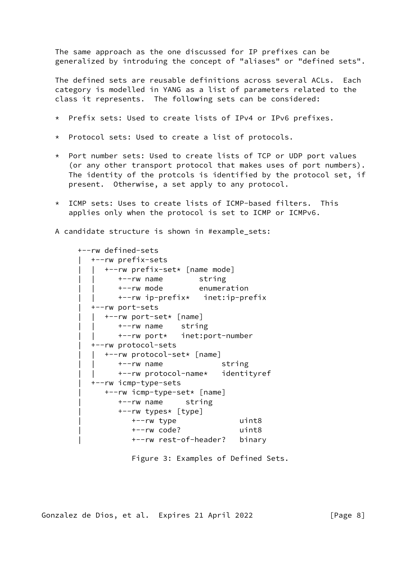The same approach as the one discussed for IP prefixes can be generalized by introduing the concept of "aliases" or "defined sets".

 The defined sets are reusable definitions across several ACLs. Each category is modelled in YANG as a list of parameters related to the class it represents. The following sets can be considered:

- \* Prefix sets: Used to create lists of IPv4 or IPv6 prefixes.
- \* Protocol sets: Used to create a list of protocols.
- \* Port number sets: Used to create lists of TCP or UDP port values (or any other transport protocol that makes uses of port numbers). The identity of the protcols is identified by the protocol set, if present. Otherwise, a set apply to any protocol.
- \* ICMP sets: Uses to create lists of ICMP-based filters. This applies only when the protocol is set to ICMP or ICMPv6.

A candidate structure is shown in #example\_sets:

```
 +--rw defined-sets
   | +--rw prefix-sets
      | | +--rw prefix-set* [name mode]
          | | +--rw name string
          | | +--rw mode enumeration
          | | +--rw ip-prefix* inet:ip-prefix
    | +--rw port-sets
       | | +--rw port-set* [name]
          | | +--rw name string
          | | +--rw port* inet:port-number
    | +--rw protocol-sets
       | | +--rw protocol-set* [name]
          | | +--rw name string
          | | +--rw protocol-name* identityref
    | +--rw icmp-type-sets
       | +--rw icmp-type-set* [name]
          | +--rw name string
          | +--rw types* [type]
             | +--rw type uint8
             | +--rw code? uint8
             | +--rw rest-of-header? binary
```
Figure 3: Examples of Defined Sets.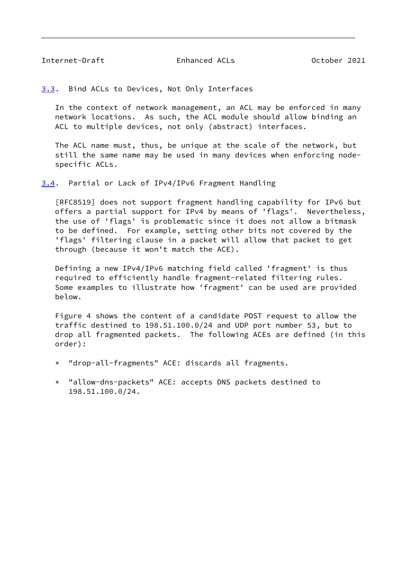<span id="page-9-1"></span><span id="page-9-0"></span>[3.3](#page-9-0). Bind ACLs to Devices, Not Only Interfaces

 In the context of network management, an ACL may be enforced in many network locations. As such, the ACL module should allow binding an ACL to multiple devices, not only (abstract) interfaces.

 The ACL name must, thus, be unique at the scale of the network, but still the same name may be used in many devices when enforcing node specific ACLs.

<span id="page-9-2"></span>[3.4](#page-9-2). Partial or Lack of IPv4/IPv6 Fragment Handling

 [RFC8519] does not support fragment handling capability for IPv6 but offers a partial support for IPv4 by means of 'flags'. Nevertheless, the use of 'flags' is problematic since it does not allow a bitmask to be defined. For example, setting other bits not covered by the 'flags' filtering clause in a packet will allow that packet to get through (because it won't match the ACE).

 Defining a new IPv4/IPv6 matching field called 'fragment' is thus required to efficiently handle fragment-related filtering rules. Some examples to illustrate how 'fragment' can be used are provided below.

 Figure 4 shows the content of a candidate POST request to allow the traffic destined to 198.51.100.0/24 and UDP port number 53, but to drop all fragmented packets. The following ACEs are defined (in this order):

- \* "drop-all-fragments" ACE: discards all fragments.
- \* "allow-dns-packets" ACE: accepts DNS packets destined to 198.51.100.0/24.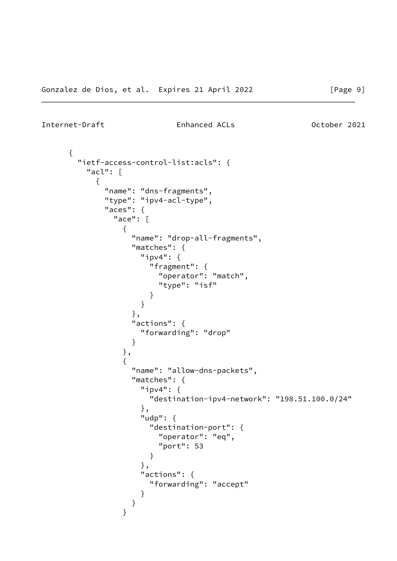```
Internet-Draft Enhanced ACLs October 2021
```

```
 {
      "ietf-access-control-list:acls": {
        "acl": [
\{ "name": "dns-fragments",
           "type": "ipv4-acl-type",
           "aces": {
            "ace": [
\{ "name": "drop-all-fragments",
               "matches": {
                 "ipv4": {
                  "fragment": {
                    "operator": "match",
                    "type": "isf"
 }
 }
               },
               "actions": {
                 "forwarding": "drop"
 }
              },
\{ "name": "allow-dns-packets",
               "matches": {
                 "ipv4": {
                  "destination-ipv4-network": "198.51.100.0/24"
 },
                 "udp": {
                  "destination-port": {
                    "operator": "eq",
                    "port": 53
 }
 },
                 "actions": {
                  "forwarding": "accept"
 }
 }
 }
```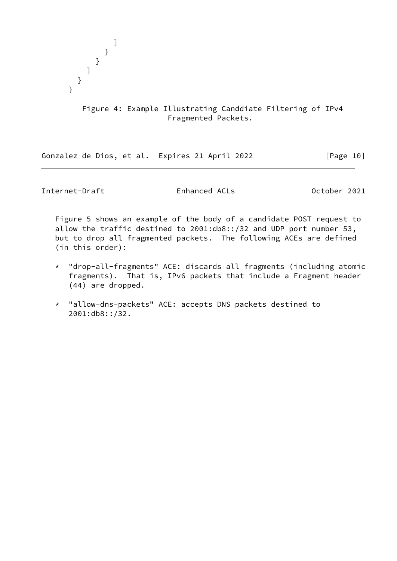

# Figure 4: Example Illustrating Canddiate Filtering of IPv4 Fragmented Packets.

Gonzalez de Dios, et al. Expires 21 April 2022 [Page 10]

Internet-Draft Enhanced ACLs October 2021

 Figure 5 shows an example of the body of a candidate POST request to allow the traffic destined to 2001:db8::/32 and UDP port number 53, but to drop all fragmented packets. The following ACEs are defined (in this order):

- \* "drop-all-fragments" ACE: discards all fragments (including atomic fragments). That is, IPv6 packets that include a Fragment header (44) are dropped.
- \* "allow-dns-packets" ACE: accepts DNS packets destined to 2001:db8::/32.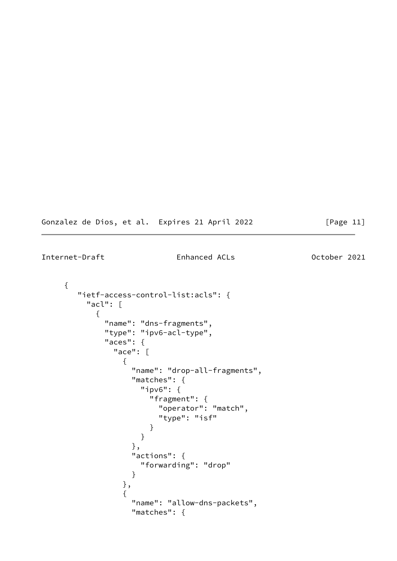|  |  |  |  |  |  | Gonzalez de Dios, et al. Expires 21 April 2022 |  |  |  |
|--|--|--|--|--|--|------------------------------------------------|--|--|--|
|--|--|--|--|--|--|------------------------------------------------|--|--|--|

```
[Page 11]
```

```
 {
       "ietf-access-control-list:acls": {
        "acl": [
\{ "name": "dns-fragments",
            "type": "ipv6-acl-type",
            "aces": {
             "ace": [
\{ "name": "drop-all-fragments",
                "matches": {
                  "ipv6": {
                    "fragment": {
                     "operator": "match",
                     "type": "isf"
 }
 }
                },
                 "actions": {
                  "forwarding": "drop"
 }
               },
\{ "name": "allow-dns-packets",
                 "matches": {
```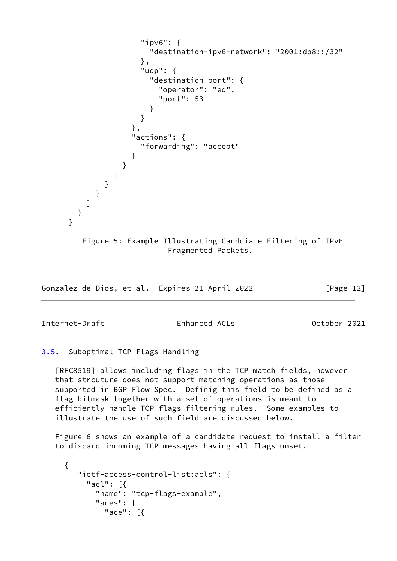```
 "ipv6": {
                  "destination-ipv6-network": "2001:db8::/32"
 },
                 "udp": {
                  "destination-port": {
                    "operator": "eq",
                    "port": 53
 }
 }
               },
               "actions": {
                 "forwarding": "accept"
 }
 }
 ]
 }
         }
        ]
      }
     }
       Figure 5: Example Illustrating Canddiate Filtering of IPv6
                     Fragmented Packets.
```
Gonzalez de Dios, et al. Expires 21 April 2022 [Page 12]

<span id="page-13-1"></span>Internet-Draft Enhanced ACLs October 2021

<span id="page-13-0"></span>[3.5](#page-13-0). Suboptimal TCP Flags Handling

 [RFC8519] allows including flags in the TCP match fields, however that strcuture does not support matching operations as those supported in BGP Flow Spec. Definig this field to be defined as a flag bitmask together with a set of operations is meant to efficiently handle TCP flags filtering rules. Some examples to illustrate the use of such field are discussed below.

 Figure 6 shows an example of a candidate request to install a filter to discard incoming TCP messages having all flags unset.

```
 {
    "ietf-access-control-list:acls": {
      "acl": [{
        "name": "tcp-flags-example",
        "aces": {
          "ace": [{
```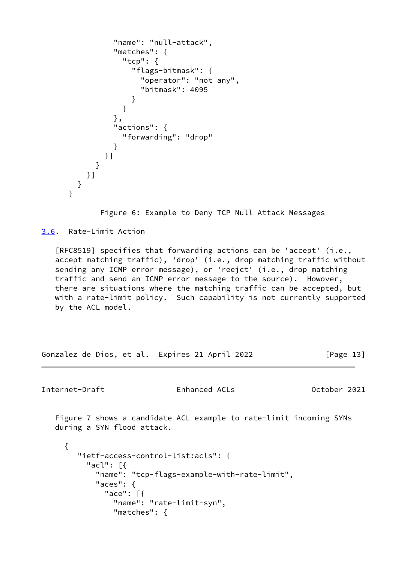```
 "name": "null-attack",
              "matches": {
               "tcp": {
                 "flags-bitmask": {
                   "operator": "not any",
                   "bitmask": 4095
 }
 }
              },
              "actions": {
               "forwarding": "drop"
 }
            }]
 }
         }]
       }
     }
```
Figure 6: Example to Deny TCP Null Attack Messages

<span id="page-14-0"></span>[3.6](#page-14-0). Rate-Limit Action

 [RFC8519] specifies that forwarding actions can be 'accept' (i.e., accept matching traffic), 'drop' (i.e., drop matching traffic without sending any ICMP error message), or 'reejct' (i.e., drop matching traffic and send an ICMP error message to the source). Howover, there are situations where the matching traffic can be accepted, but with a rate-limit policy. Such capability is not currently supported by the ACL model.

Gonzalez de Dios, et al. Expires 21 April 2022 [Page 13]

<span id="page-14-1"></span>Internet-Draft Enhanced ACLs October 2021

 Figure 7 shows a candidate ACL example to rate-limit incoming SYNs during a SYN flood attack.

```
 {
    "ietf-access-control-list:acls": {
      "acl": [{
        "name": "tcp-flags-example-with-rate-limit",
        "aces": {
          "ace": [{
            "name": "rate-limit-syn",
            "matches": {
```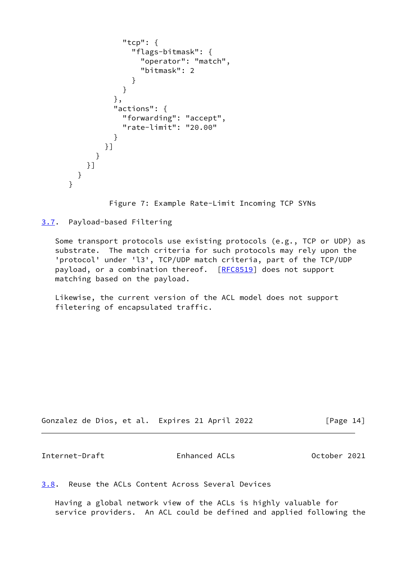```
 "tcp": {
                 "flags-bitmask": {
                   "operator": "match",
                   "bitmask": 2
 }
 }
              },
              "actions": {
                "forwarding": "accept",
                "rate-limit": "20.00"
 }
            }]
          }
         }]
       }
     }
```
Figure 7: Example Rate-Limit Incoming TCP SYNs

<span id="page-15-0"></span>[3.7](#page-15-0). Payload-based Filtering

 Some transport protocols use existing protocols (e.g., TCP or UDP) as substrate. The match criteria for such protocols may rely upon the 'protocol' under 'l3', TCP/UDP match criteria, part of the TCP/UDP payload, or a combination thereof. [\[RFC8519](https://datatracker.ietf.org/doc/pdf/rfc8519)] does not support matching based on the payload.

 Likewise, the current version of the ACL model does not support filetering of encapsulated traffic.

Gonzalez de Dios, et al. Expires 21 April 2022 [Page 14]

<span id="page-15-2"></span>Internet-Draft Enhanced ACLs October 2021

<span id="page-15-1"></span>[3.8](#page-15-1). Reuse the ACLs Content Across Several Devices

 Having a global network view of the ACLs is highly valuable for service providers. An ACL could be defined and applied following the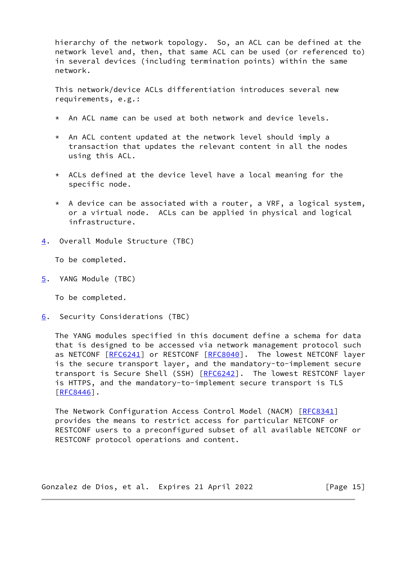hierarchy of the network topology. So, an ACL can be defined at the network level and, then, that same ACL can be used (or referenced to) in several devices (including termination points) within the same network.

 This network/device ACLs differentiation introduces several new requirements, e.g.:

- \* An ACL name can be used at both network and device levels.
- \* An ACL content updated at the network level should imply a transaction that updates the relevant content in all the nodes using this ACL.
- \* ACLs defined at the device level have a local meaning for the specific node.
- $*$  A device can be associated with a router, a VRF, a logical system, or a virtual node. ACLs can be applied in physical and logical infrastructure.
- <span id="page-16-0"></span>[4](#page-16-0). Overall Module Structure (TBC)

To be completed.

<span id="page-16-1"></span>[5](#page-16-1). YANG Module (TBC)

To be completed.

<span id="page-16-2"></span>[6](#page-16-2). Security Considerations (TBC)

 The YANG modules specified in this document define a schema for data that is designed to be accessed via network management protocol such as NETCONF [[RFC6241\]](https://datatracker.ietf.org/doc/pdf/rfc6241) or RESTCONF [\[RFC8040](https://datatracker.ietf.org/doc/pdf/rfc8040)]. The lowest NETCONF layer is the secure transport layer, and the mandatory-to-implement secure transport is Secure Shell (SSH) [\[RFC6242](https://datatracker.ietf.org/doc/pdf/rfc6242)]. The lowest RESTCONF layer is HTTPS, and the mandatory-to-implement secure transport is TLS [\[RFC8446](https://datatracker.ietf.org/doc/pdf/rfc8446)].

The Network Configuration Access Control Model (NACM) [[RFC8341](https://datatracker.ietf.org/doc/pdf/rfc8341)] provides the means to restrict access for particular NETCONF or RESTCONF users to a preconfigured subset of all available NETCONF or RESTCONF protocol operations and content.

Gonzalez de Dios, et al. Expires 21 April 2022 [Page 15]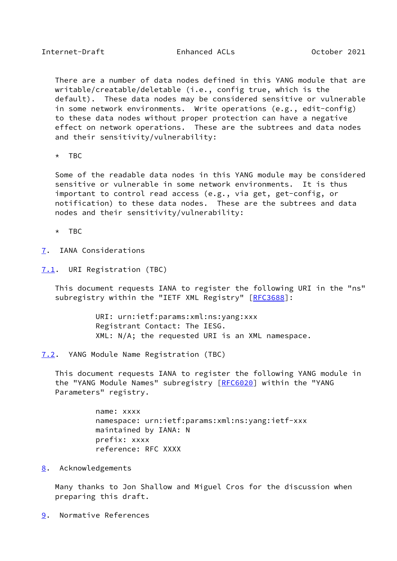<span id="page-17-1"></span> There are a number of data nodes defined in this YANG module that are writable/creatable/deletable (i.e., config true, which is the default). These data nodes may be considered sensitive or vulnerable in some network environments. Write operations (e.g., edit-config) to these data nodes without proper protection can have a negative effect on network operations. These are the subtrees and data nodes and their sensitivity/vulnerability:

\* TBC

 Some of the readable data nodes in this YANG module may be considered sensitive or vulnerable in some network environments. It is thus important to control read access (e.g., via get, get-config, or notification) to these data nodes. These are the subtrees and data nodes and their sensitivity/vulnerability:

\* TBC

- <span id="page-17-0"></span>[7](#page-17-0). IANA Considerations
- <span id="page-17-2"></span>[7.1](#page-17-2). URI Registration (TBC)

 This document requests IANA to register the following URI in the "ns" subregistry within the "IETF XML Registry" [[RFC3688\]](https://datatracker.ietf.org/doc/pdf/rfc3688):

> URI: urn:ietf:params:xml:ns:yang:xxx Registrant Contact: The IESG. XML: N/A; the requested URI is an XML namespace.

<span id="page-17-3"></span>[7.2](#page-17-3). YANG Module Name Registration (TBC)

 This document requests IANA to register the following YANG module in the "YANG Module Names" subregistry [\[RFC6020](https://datatracker.ietf.org/doc/pdf/rfc6020)] within the "YANG Parameters" registry.

> name: xxxx namespace: urn:ietf:params:xml:ns:yang:ietf-xxx maintained by IANA: N prefix: xxxx reference: RFC XXXX

<span id="page-17-4"></span>[8](#page-17-4). Acknowledgements

 Many thanks to Jon Shallow and Miguel Cros for the discussion when preparing this draft.

<span id="page-17-5"></span>[9](#page-17-5). Normative References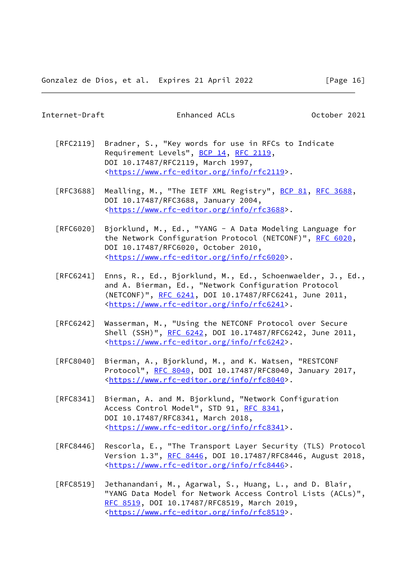- <span id="page-18-0"></span> [RFC2119] Bradner, S., "Key words for use in RFCs to Indicate Requirement Levels", [BCP 14](https://datatracker.ietf.org/doc/pdf/bcp14), [RFC 2119](https://datatracker.ietf.org/doc/pdf/rfc2119), DOI 10.17487/RFC2119, March 1997, <[https://www.rfc-editor.org/info/rfc2119>](https://www.rfc-editor.org/info/rfc2119).
- [RFC3688] Mealling, M., "The IETF XML Registry", [BCP 81](https://datatracker.ietf.org/doc/pdf/bcp81), [RFC 3688](https://datatracker.ietf.org/doc/pdf/rfc3688), DOI 10.17487/RFC3688, January 2004, <[https://www.rfc-editor.org/info/rfc3688>](https://www.rfc-editor.org/info/rfc3688).
- [RFC6020] Bjorklund, M., Ed., "YANG A Data Modeling Language for the Network Configuration Protocol (NETCONF)", [RFC 6020](https://datatracker.ietf.org/doc/pdf/rfc6020), DOI 10.17487/RFC6020, October 2010, <[https://www.rfc-editor.org/info/rfc6020>](https://www.rfc-editor.org/info/rfc6020).
- [RFC6241] Enns, R., Ed., Bjorklund, M., Ed., Schoenwaelder, J., Ed., and A. Bierman, Ed., "Network Configuration Protocol (NETCONF)", [RFC 6241,](https://datatracker.ietf.org/doc/pdf/rfc6241) DOI 10.17487/RFC6241, June 2011, <[https://www.rfc-editor.org/info/rfc6241>](https://www.rfc-editor.org/info/rfc6241).
- [RFC6242] Wasserman, M., "Using the NETCONF Protocol over Secure Shell (SSH)", [RFC 6242](https://datatracker.ietf.org/doc/pdf/rfc6242), DOI 10.17487/RFC6242, June 2011, <[https://www.rfc-editor.org/info/rfc6242>](https://www.rfc-editor.org/info/rfc6242).
- [RFC8040] Bierman, A., Bjorklund, M., and K. Watsen, "RESTCONF Protocol", [RFC 8040](https://datatracker.ietf.org/doc/pdf/rfc8040), DOI 10.17487/RFC8040, January 2017, <[https://www.rfc-editor.org/info/rfc8040>](https://www.rfc-editor.org/info/rfc8040).
- [RFC8341] Bierman, A. and M. Bjorklund, "Network Configuration Access Control Model", STD 91, [RFC 8341](https://datatracker.ietf.org/doc/pdf/rfc8341), DOI 10.17487/RFC8341, March 2018, <[https://www.rfc-editor.org/info/rfc8341>](https://www.rfc-editor.org/info/rfc8341).
- [RFC8446] Rescorla, E., "The Transport Layer Security (TLS) Protocol Version 1.3", [RFC 8446](https://datatracker.ietf.org/doc/pdf/rfc8446), DOI 10.17487/RFC8446, August 2018, <[https://www.rfc-editor.org/info/rfc8446>](https://www.rfc-editor.org/info/rfc8446).
- [RFC8519] Jethanandani, M., Agarwal, S., Huang, L., and D. Blair, "YANG Data Model for Network Access Control Lists (ACLs)", [RFC 8519,](https://datatracker.ietf.org/doc/pdf/rfc8519) DOI 10.17487/RFC8519, March 2019, <[https://www.rfc-editor.org/info/rfc8519>](https://www.rfc-editor.org/info/rfc8519).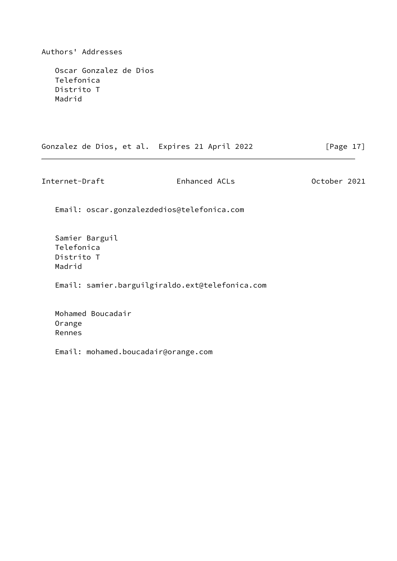Authors' Addresses

 Oscar Gonzalez de Dios Telefonica Distrito T Madrid

Gonzalez de Dios, et al. Expires 21 April 2022 [Page 17]

Internet-Draft Enhanced ACLs October 2021

Email: oscar.gonzalezdedios@telefonica.com

 Samier Barguil Telefonica Distrito T Madrid

Email: samier.barguilgiraldo.ext@telefonica.com

 Mohamed Boucadair Orange Rennes

Email: mohamed.boucadair@orange.com